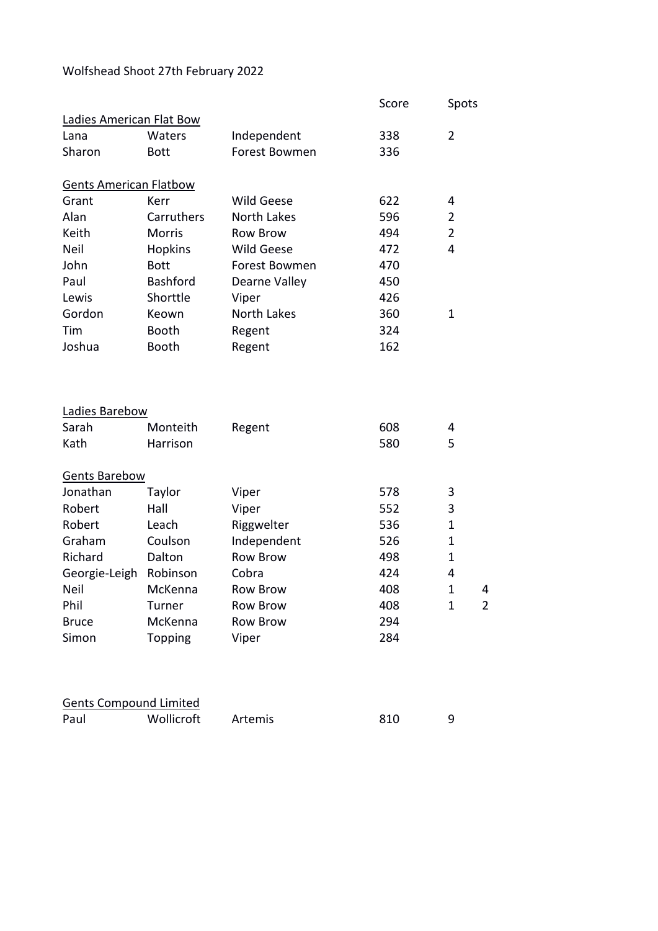## Wolfshead Shoot 27th February 2022

|                               |                 |                   | Score | Spots          |                |
|-------------------------------|-----------------|-------------------|-------|----------------|----------------|
| Ladies American Flat Bow      |                 |                   |       |                |                |
| Lana                          | Waters          | Independent       | 338   | $\overline{2}$ |                |
| Sharon                        | <b>Bott</b>     | Forest Bowmen     | 336   |                |                |
| <b>Gents American Flatbow</b> |                 |                   |       |                |                |
| Grant                         | Kerr            | <b>Wild Geese</b> | 622   | 4              |                |
| Alan                          | Carruthers      | North Lakes       | 596   | 2              |                |
| Keith                         | <b>Morris</b>   | <b>Row Brow</b>   | 494   | $\overline{2}$ |                |
| Neil                          | <b>Hopkins</b>  | <b>Wild Geese</b> | 472   | 4              |                |
| John                          | <b>Bott</b>     | Forest Bowmen     | 470   |                |                |
| Paul                          | <b>Bashford</b> | Dearne Valley     | 450   |                |                |
| Lewis                         | Shorttle        | Viper             | 426   |                |                |
| Gordon                        | Keown           | North Lakes       | 360   | $\mathbf{1}$   |                |
| Tim                           | Booth           | Regent            | 324   |                |                |
| Joshua                        | Booth           | Regent            | 162   |                |                |
|                               |                 |                   |       |                |                |
| Ladies Barebow                |                 |                   |       |                |                |
| Sarah                         | Monteith        | Regent            | 608   | 4              |                |
| Kath                          | Harrison        |                   | 580   | 5              |                |
| <b>Gents Barebow</b>          |                 |                   |       |                |                |
| Jonathan                      | Taylor          | Viper             | 578   | 3              |                |
| Robert                        | Hall            | Viper             | 552   | 3              |                |
| Robert                        | Leach           | Riggwelter        | 536   | $\mathbf{1}$   |                |
| Graham                        | Coulson         | Independent       | 526   | $\mathbf{1}$   |                |
| Richard                       | Dalton          | <b>Row Brow</b>   | 498   | 1              |                |
| Georgie-Leigh                 | Robinson        | Cobra             | 424   | 4              |                |
| <b>Neil</b>                   | McKenna         | Row Brow          | 408   | 1              | 4              |
| Phil                          | Turner          | <b>Row Brow</b>   | 408   | $\mathbf{1}$   | $\overline{2}$ |
| <b>Bruce</b>                  | McKenna         | <b>Row Brow</b>   | 294   |                |                |
| Simon                         | Topping         | Viper             | 284   |                |                |
|                               |                 |                   |       |                |                |
| <b>Gents Compound Limited</b> |                 |                   |       |                |                |
| Paul                          | Wollicroft      | Artemis           | 810   | 9              |                |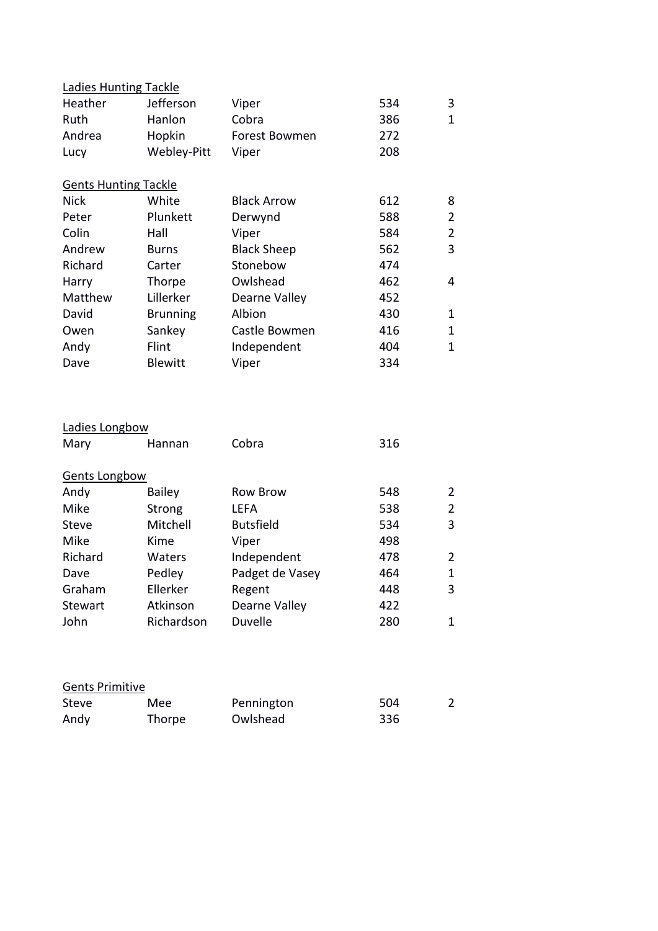| <b>Ladies Hunting Tackle</b> |                 |                    |     |                |
|------------------------------|-----------------|--------------------|-----|----------------|
| Heather                      | Jefferson       | Viper              | 534 | 3              |
| Ruth                         | Hanlon          | Cobra              | 386 | $\mathbf{1}$   |
| Andrea                       | Hopkin          | Forest Bowmen      | 272 |                |
| Lucy                         | Webley-Pitt     | Viper              | 208 |                |
| <b>Gents Hunting Tackle</b>  |                 |                    |     |                |
| <b>Nick</b>                  | White           | <b>Black Arrow</b> | 612 | 8              |
| Peter                        | Plunkett        | Derwynd            | 588 | $\overline{2}$ |
| Colin                        | Hall            | Viper              | 584 | $\overline{2}$ |
| Andrew                       | Burns           | <b>Black Sheep</b> | 562 | 3              |
| Richard                      | Carter          | Stonebow           | 474 |                |
| Harry                        | Thorpe          | Owlshead           | 462 | 4              |
| Matthew                      | Lillerker       | Dearne Valley      | 452 |                |
| David                        | <b>Brunning</b> | Albion             | 430 | $\mathbf{1}$   |
| Owen                         | Sankey          | Castle Bowmen      | 416 | $\mathbf{1}$   |
| Andy                         | Flint           | Independent        | 404 | $\mathbf{1}$   |
| Dave                         | <b>Blewitt</b>  | Viper              | 334 |                |
| Ladies Longbow               |                 |                    |     |                |
| Mary                         | Hannan          | Cobra              | 316 |                |
|                              |                 |                    |     |                |
| <b>Gents Longbow</b>         |                 |                    |     |                |
| Andy                         | <b>Bailey</b>   | <b>Row Brow</b>    | 548 | $\overline{2}$ |
| Mike                         | Strong          | <b>LEFA</b>        | 538 | $\overline{2}$ |
| <b>Steve</b>                 | Mitchell        | <b>Butsfield</b>   | 534 | 3              |
| Mike                         | Kime            | Viper              | 498 |                |
| Richard                      | Waters          | Independent        | 478 | $\overline{2}$ |
| Dave                         | Pedley          | Padget de Vasey    | 464 | $\mathbf{1}$   |
| Graham                       | Ellerker        | Regent             | 448 | 3              |
| Stewart                      | Atkinson        | Dearne Valley      | 422 |                |
| John                         | Richardson      | Duvelle            | 280 | $\mathbf{1}$   |

| <b>Gents Primitive</b> |        |            |     |  |  |
|------------------------|--------|------------|-----|--|--|
| Steve                  | Mee    | Pennington | 504 |  |  |
| Andy                   | Thorpe | Owlshead   | 336 |  |  |